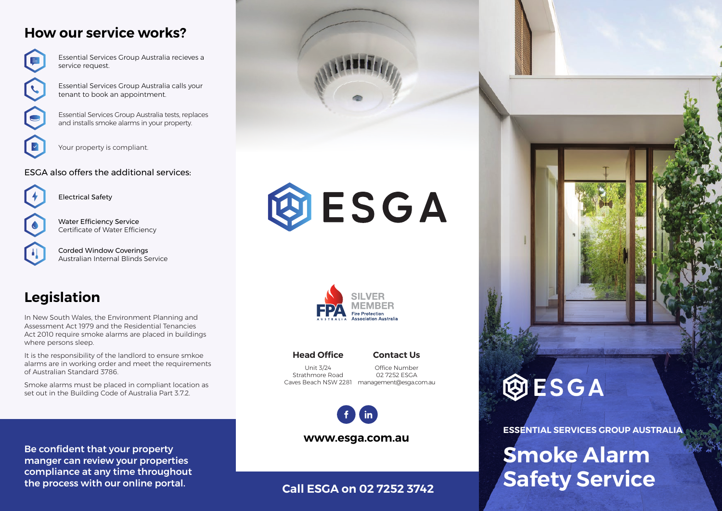# **How our service works?**



Essential Services Group Australia recieves a service request.

Essential Services Group Australia calls your tenant to book an appointment.

Essential Services Group Australia tests, replaces and installs smoke alarms in your property.



Your property is compliant.

### ESGA also offers the additional services:



Water Efficiency Service Certificate of Water Efficiency

Electrical Safety

Corded Window Coverings Australian Internal Blinds Service

# **Legislation**

In New South Wales, the Environment Planning and Assessment Act 1979 and the Residential Tenancies Act 2010 require smoke alarms are placed in buildings where persons sleep.

It is the responsibility of the landlord to ensure smkoe alarms are in working order and meet the requirements of Australian Standard 3786.

Smoke alarms must be placed in compliant location as set out in the Building Code of Australia Part 3.7.2.

Be confident that your property manger can review your properties compliance at any time throughout the process with our online portal.





### **Head Office**

**Contact Us**

Unit 3/24 Strathmore Road

Caves Beach NSW 2281 management@esga.com.au Office Number 02 7252 ESGA



**www.esga.com.au**

### **Call ESGA on 02 7252 3742**



**ESSENTIAL SERVICES GROUP AUSTRALIA**

# **Smoke Alarm Safety Service**